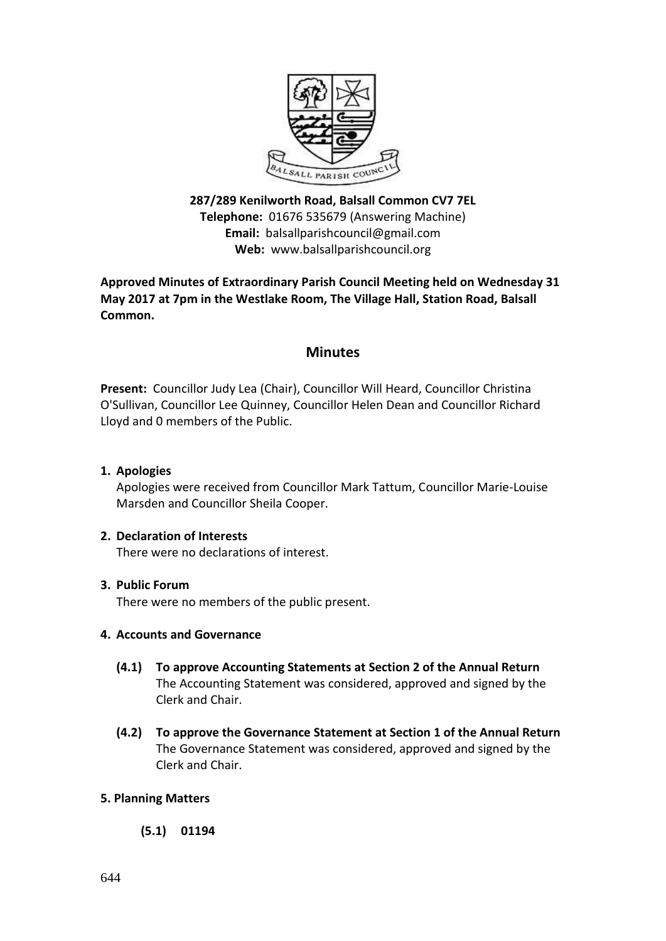

**287/289 Kenilworth Road, Balsall Common CV7 7EL Telephone:** 01676 535679 (Answering Machine) **Email:** balsallparishcouncil@gmail.com **Web:** [www.balsallparishcouncil.org](http://www.balsallparishcouncil.org/)

**Approved Minutes of Extraordinary Parish Council Meeting held on Wednesday 31 May 2017 at 7pm in the Westlake Room, The Village Hall, Station Road, Balsall Common.**

# **Minutes**

**Present:** Councillor Judy Lea (Chair), Councillor Will Heard, Councillor Christina O'Sullivan, Councillor Lee Quinney, Councillor Helen Dean and Councillor Richard Lloyd and 0 members of the Public.

**1. Apologies**

Apologies were received from Councillor Mark Tattum, Councillor Marie-Louise Marsden and Councillor Sheila Cooper.

## **2. Declaration of Interests**

There were no declarations of interest.

## **3. Public Forum**

There were no members of the public present.

## **4. Accounts and Governance**

- **(4.1) To approve Accounting Statements at Section 2 of the Annual Return** The Accounting Statement was considered, approved and signed by the Clerk and Chair.
- **(4.2) To approve the Governance Statement at Section 1 of the Annual Return** The Governance Statement was considered, approved and signed by the Clerk and Chair.

## **5. Planning Matters**

**(5.1) 01194**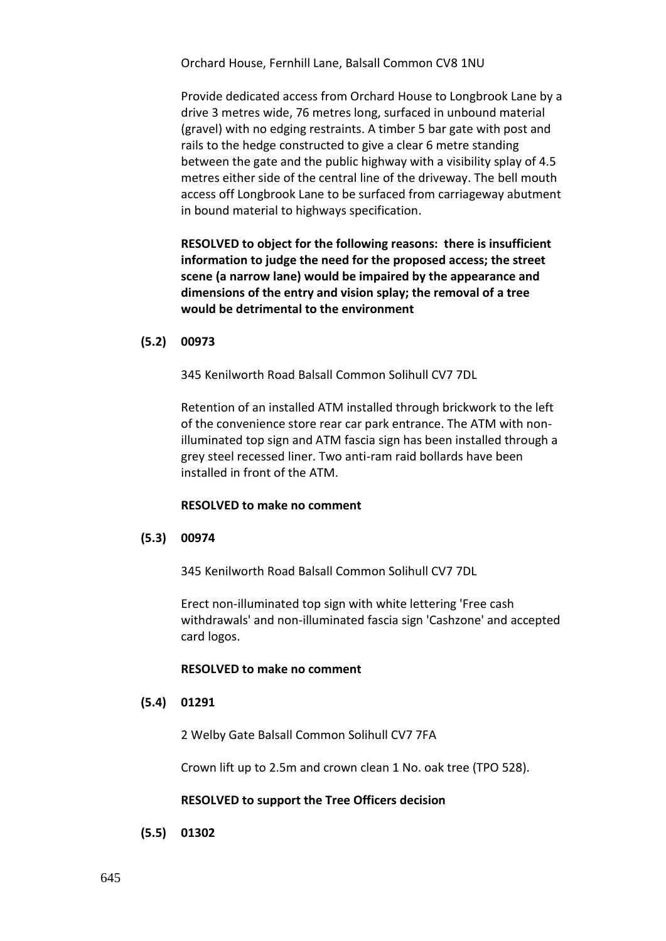Orchard House, Fernhill Lane, Balsall Common CV8 1NU

[Provide dedicated access from Orchard House to Longbrook Lane by a](https://publicaccess.solihull.gov.uk/online-applications/applicationDetails.do?activeTab=summary&keyVal=OPOJUNOEKFU00&prevPage=inTray)  [drive 3 metres wide, 76 metres long, surfaced in unbound material](https://publicaccess.solihull.gov.uk/online-applications/applicationDetails.do?activeTab=summary&keyVal=OPOJUNOEKFU00&prevPage=inTray)  [\(gravel\) with no edging restraints. A timber 5 bar gate with post and](https://publicaccess.solihull.gov.uk/online-applications/applicationDetails.do?activeTab=summary&keyVal=OPOJUNOEKFU00&prevPage=inTray)  [rails to the hedge constructed to give a clear 6 metre standing](https://publicaccess.solihull.gov.uk/online-applications/applicationDetails.do?activeTab=summary&keyVal=OPOJUNOEKFU00&prevPage=inTray)  [between the gate and the public highway with a visibility splay of 4.5](https://publicaccess.solihull.gov.uk/online-applications/applicationDetails.do?activeTab=summary&keyVal=OPOJUNOEKFU00&prevPage=inTray)  metres either side [of the central line of the driveway. The bell mouth](https://publicaccess.solihull.gov.uk/online-applications/applicationDetails.do?activeTab=summary&keyVal=OPOJUNOEKFU00&prevPage=inTray)  [access off Longbrook Lane to be surfaced from carriageway abutment](https://publicaccess.solihull.gov.uk/online-applications/applicationDetails.do?activeTab=summary&keyVal=OPOJUNOEKFU00&prevPage=inTray)  [in bound material to highways specification.](https://publicaccess.solihull.gov.uk/online-applications/applicationDetails.do?activeTab=summary&keyVal=OPOJUNOEKFU00&prevPage=inTray)

**RESOLVED to object for the following reasons: there is insufficient information to judge the need for the proposed access; the street scene (a narrow lane) would be impaired by the appearance and dimensions of the entry and vision splay; the removal of a tree would be detrimental to the environment**

#### **(5.2) 00973**

345 Kenilworth Road Balsall Common Solihull CV7 7DL

[Retention of an installed ATM installed through brickwork to the left](https://publicaccess.solihull.gov.uk/online-applications/applicationDetails.do?activeTab=summary&keyVal=OOE0SZOEK2200&prevPage=inTray)  [of the convenience store rear car park entrance. The ATM with non](https://publicaccess.solihull.gov.uk/online-applications/applicationDetails.do?activeTab=summary&keyVal=OOE0SZOEK2200&prevPage=inTray)[illuminated top sign and ATM fascia sign has been installed through a](https://publicaccess.solihull.gov.uk/online-applications/applicationDetails.do?activeTab=summary&keyVal=OOE0SZOEK2200&prevPage=inTray)  [grey steel recessed liner. Two anti-ram raid bollards have been](https://publicaccess.solihull.gov.uk/online-applications/applicationDetails.do?activeTab=summary&keyVal=OOE0SZOEK2200&prevPage=inTray)  [installed in front of the ATM.](https://publicaccess.solihull.gov.uk/online-applications/applicationDetails.do?activeTab=summary&keyVal=OOE0SZOEK2200&prevPage=inTray)

#### **RESOLVED to make no comment**

#### **(5.3) 00974**

345 Kenilworth Road Balsall Common Solihull CV7 7DL

[Erect non-illuminated top sign with white lettering 'Free cash](https://publicaccess.solihull.gov.uk/online-applications/applicationDetails.do?activeTab=summary&keyVal=OOE0T6OEK2300&prevPage=inTray)  [withdrawals' and non-illuminated fascia sign 'Cashzone' and accepted](https://publicaccess.solihull.gov.uk/online-applications/applicationDetails.do?activeTab=summary&keyVal=OOE0T6OEK2300&prevPage=inTray)  [card logos.](https://publicaccess.solihull.gov.uk/online-applications/applicationDetails.do?activeTab=summary&keyVal=OOE0T6OEK2300&prevPage=inTray)

#### **RESOLVED to make no comment**

### **(5.4) 01291**

2 Welby Gate Balsall Common Solihull CV7 7FA

[Crown lift up to 2.5m and crown clean 1 No. oak tree \(TPO 528\).](https://publicaccess.solihull.gov.uk/online-applications/applicationDetails.do?activeTab=summary&keyVal=OQ3D78OEKLQ00&prevPage=inTray)

#### **RESOLVED to support the Tree Officers decision**

**(5.5) 01302**